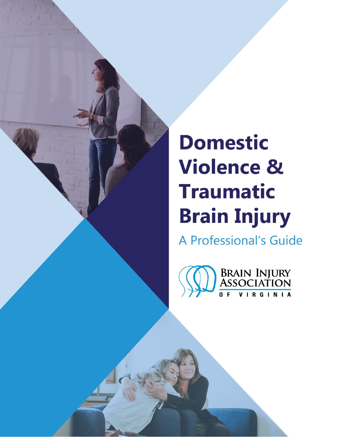# **Domestic Violence & Traumatic Brain Injury**

A Professional's Guide



© Brain Injury Association of Virginia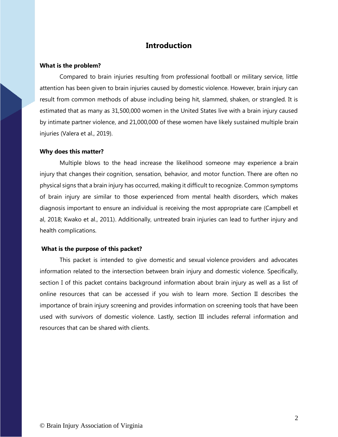## **Introduction**

#### **What is the problem?**

Compared to brain injuries resulting from professional football or military service, little attention has been given to brain injuries caused by domestic violence. However, brain injury can result from common methods of abuse including being hit, slammed, shaken, or strangled. It is estimated that as many as 31,500,000 women in the United States live with a brain injury caused by intimate partner violence, and 21,000,000 of these women have likely sustained multiple brain injuries (Valera et al., 2019).

#### **Why does this matter?**

Multiple blows to the head increase the likelihood someone may experience a brain injury that changes their cognition, sensation, behavior, and motor function. There are often no physical signs that a brain injury has occurred, making it difficult to recognize. Common symptoms of brain injury are similar to those experienced from mental health disorders, which makes diagnosis important to ensure an individual is receiving the most appropriate care (Campbell et al, 2018; Kwako et al., 2011). Additionally, untreated brain injuries can lead to further injury and health complications.

#### **What is the purpose of this packet?**

This packet is intended to give domestic and sexual violence providers and advocates information related to the intersection between brain injury and domestic violence. Specifically, section I of this packet contains background information about brain injury as well as a list of online resources that can be accessed if you wish to learn more. Section II describes the importance of brain injury screening and provides information on screening tools that have been used with survivors of domestic violence. Lastly, section III includes referral information and resources that can be shared with clients.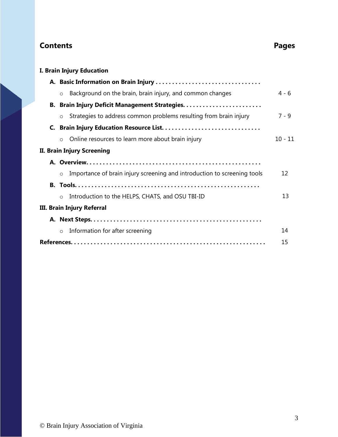## **Contents Pages**

## **I. Brain Injury Education**

| Background on the brain, brain injury, and common changes<br>$\circ$                | $4 - 6$   |
|-------------------------------------------------------------------------------------|-----------|
|                                                                                     |           |
| Strategies to address common problems resulting from brain injury<br>$\circ$        | $7 - 9$   |
|                                                                                     |           |
| Online resources to learn more about brain injury<br>$\bigcirc$                     | $10 - 11$ |
| II. Brain Injury Screening                                                          |           |
|                                                                                     |           |
| Importance of brain injury screening and introduction to screening tools<br>$\circ$ | 12        |
|                                                                                     |           |
| Introduction to the HELPS, CHATS, and OSU TBI-ID<br>$\circ$                         | 13        |
| III. Brain Injury Referral                                                          |           |
|                                                                                     |           |
| Information for after screening<br>$\circ$                                          | 14        |
|                                                                                     | 15        |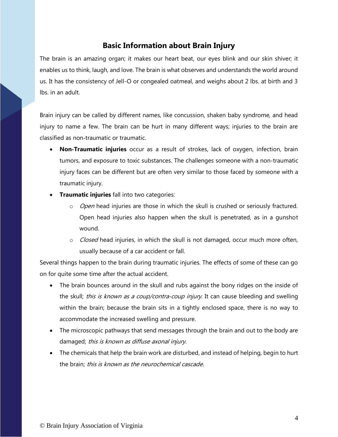## **Basic Information about Brain Injury**

The brain is an amazing organ; it makes our heart beat, our eyes blink and our skin shiver; it enables us to think, laugh, and love. The brain is what observes and understands the world around us. It has the consistency of Jell-O or congealed oatmeal, and weighs about 2 lbs. at birth and 3 lbs. in an adult.

Brain injury can be called by different names, like concussion, shaken baby syndrome, and head injury to name a few. The brain can be hurt in many different ways; injuries to the brain are classified as non‐traumatic or traumatic.

- **Non**‐**Traumatic injuries** occur as a result of strokes, lack of oxygen, infection, brain tumors, and exposure to toxic substances. The challenges someone with a non‐traumatic injury faces can be different but are often very similar to those faced by someone with a traumatic injury.
- **Traumatic injuries** fall into two categories:
	- $\circ$  Open head injuries are those in which the skull is crushed or seriously fractured. Open head injuries also happen when the skull is penetrated, as in a gunshot wound.
	- o Closed head injuries, in which the skull is not damaged, occur much more often, usually because of a car accident or fall.

Several things happen to the brain during traumatic injuries. The effects of some of these can go on for quite some time after the actual accident.

- The brain bounces around in the skull and rubs against the bony ridges on the inside of the skull; *this is known as a coup/contra-coup injury*. It can cause bleeding and swelling within the brain; because the brain sits in a tightly enclosed space, there is no way to accommodate the increased swelling and pressure.
- The microscopic pathways that send messages through the brain and out to the body are damaged; this is known as diffuse axonal injury.
- The chemicals that help the brain work are disturbed, and instead of helping, begin to hurt the brain; this is known as the neurochemical cascade.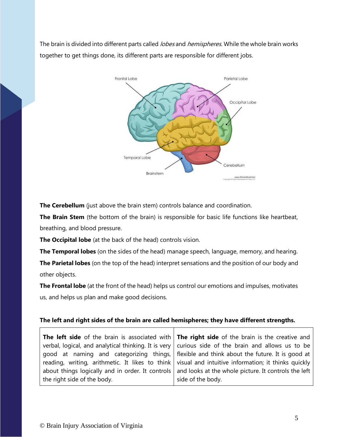The brain is divided into different parts called *lobes* and *hemispheres*. While the whole brain works together to get things done, its different parts are responsible for different jobs.



**The Cerebellum** (just above the brain stem) controls balance and coordination.

**The Brain Stem** (the bottom of the brain) is responsible for basic life functions like heartbeat, breathing, and blood pressure.

**The Occipital lobe** (at the back of the head) controls vision.

**The Temporal lobes** (on the sides of the head) manage speech, language, memory, and hearing.

**The Parietal lobes** (on the top of the head) interpret sensations and the position of our body and other objects.

**The Frontal lobe** (at the front of the head) helps us control our emotions and impulses, motivates us, and helps us plan and make good decisions.

## **The left and right sides of the brain are called hemispheres; they have different strengths.**

|                             | The left side of the brain is associated with $ $ The right side of the brain is the creative and     |
|-----------------------------|-------------------------------------------------------------------------------------------------------|
|                             | verbal, logical, and analytical thinking. It is very   curious side of the brain and allows us to be  |
|                             | good at naming and categorizing things, flexible and think about the future. It is good at            |
|                             | reading, writing, arithmetic. It likes to think   visual and intuitive information; it thinks quickly |
|                             | about things logically and in order. It controls and looks at the whole picture. It controls the left |
| the right side of the body. | side of the body.                                                                                     |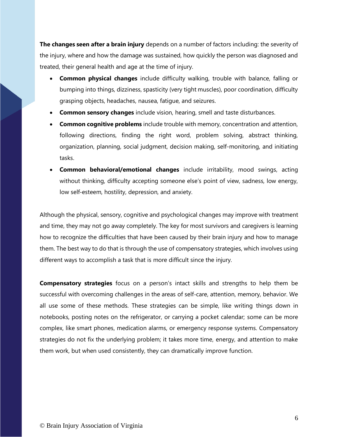**The changes seen after a brain injury** depends on a number of factors including: the severity of the injury, where and how the damage was sustained, how quickly the person was diagnosed and treated, their general health and age at the time of injury.

- **Common physical changes** include difficulty walking, trouble with balance, falling or bumping into things, dizziness, spasticity (very tight muscles), poor coordination, difficulty grasping objects, headaches, nausea, fatigue, and seizures.
- **Common sensory changes** include vision, hearing, smell and taste disturbances.
- **Common cognitive problems** include trouble with memory, concentration and attention, following directions, finding the right word, problem solving, abstract thinking, organization, planning, social judgment, decision making, self-monitoring, and initiating tasks.
- **Common behavioral/emotional changes** include irritability, mood swings, acting without thinking, difficulty accepting someone else's point of view, sadness, low energy, low self‐esteem, hostility, depression, and anxiety.

Although the physical, sensory, cognitive and psychological changes may improve with treatment and time, they may not go away completely. The key for most survivors and caregivers is learning how to recognize the difficulties that have been caused by their brain injury and how to manage them. The best way to do that is through the use of compensatory strategies, which involves using different ways to accomplish a task that is more difficult since the injury.

**Compensatory strategies** focus on a person's intact skills and strengths to help them be successful with overcoming challenges in the areas of self‐care, attention, memory, behavior. We all use some of these methods. These strategies can be simple, like writing things down in notebooks, posting notes on the refrigerator, or carrying a pocket calendar; some can be more complex, like smart phones, medication alarms, or emergency response systems. Compensatory strategies do not fix the underlying problem; it takes more time, energy, and attention to make them work, but when used consistently, they can dramatically improve function.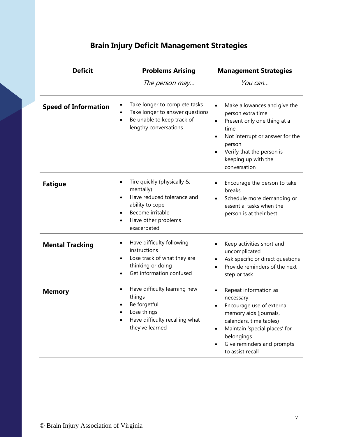|  |  | <b>Brain Injury Deficit Management Strategies</b> |
|--|--|---------------------------------------------------|
|  |  |                                                   |

| <b>Deficit</b>                                                                                                                                                                     | <b>Problems Arising</b>                                                                                                                                                                                | <b>Management Strategies</b>                                                                                                                                                                                                            |  |
|------------------------------------------------------------------------------------------------------------------------------------------------------------------------------------|--------------------------------------------------------------------------------------------------------------------------------------------------------------------------------------------------------|-----------------------------------------------------------------------------------------------------------------------------------------------------------------------------------------------------------------------------------------|--|
|                                                                                                                                                                                    | The person may                                                                                                                                                                                         | You can                                                                                                                                                                                                                                 |  |
| <b>Speed of Information</b>                                                                                                                                                        | Take longer to complete tasks<br>Take longer to answer questions<br>Be unable to keep track of<br>$\bullet$<br>lengthy conversations                                                                   | Make allowances and give the<br>person extra time<br>Present only one thing at a<br>$\bullet$<br>time<br>Not interrupt or answer for the<br>person<br>Verify that the person is<br>keeping up with the<br>conversation                  |  |
| <b>Fatigue</b>                                                                                                                                                                     | Tire quickly (physically &<br>$\bullet$<br>mentally)<br>Have reduced tolerance and<br>$\bullet$<br>ability to cope<br>Become irritable<br>$\bullet$<br>Have other problems<br>$\bullet$<br>exacerbated | Encourage the person to take<br>breaks<br>Schedule more demanding or<br>essential tasks when the<br>person is at their best                                                                                                             |  |
| Have difficulty following<br>٠<br><b>Mental Tracking</b><br>instructions<br>Lose track of what they are<br>$\bullet$<br>thinking or doing<br>Get information confused<br>$\bullet$ |                                                                                                                                                                                                        | Keep activities short and<br>$\bullet$<br>uncomplicated<br>Ask specific or direct questions<br>$\bullet$<br>Provide reminders of the next<br>step or task                                                                               |  |
| <b>Memory</b>                                                                                                                                                                      | Have difficulty learning new<br>٠<br>things<br>Be forgetful<br>٠<br>Lose things<br>$\bullet$<br>Have difficulty recalling what<br>$\bullet$<br>they've learned                                         | Repeat information as<br>necessary<br>Encourage use of external<br>$\bullet$<br>memory aids (journals,<br>calendars, time tables)<br>Maintain 'special places' for<br>٠<br>belongings<br>Give reminders and prompts<br>to assist recall |  |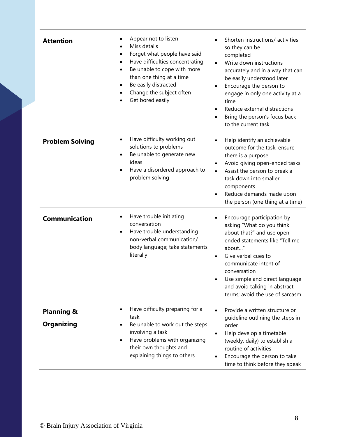| <b>Attention</b>                           | Appear not to listen<br>Miss details<br>Forget what people have said<br>٠<br>Have difficulties concentrating<br>$\bullet$<br>Be unable to cope with more<br>$\bullet$<br>than one thing at a time<br>Be easily distracted<br>$\bullet$<br>Change the subject often<br>Get bored easily | Shorten instructions/activities<br>so they can be<br>completed<br>Write down instructions<br>accurately and in a way that can<br>be easily understood later<br>Encourage the person to<br>engage in only one activity at a<br>time<br>Reduce external distractions<br>Bring the person's focus back<br>to the current task |
|--------------------------------------------|----------------------------------------------------------------------------------------------------------------------------------------------------------------------------------------------------------------------------------------------------------------------------------------|----------------------------------------------------------------------------------------------------------------------------------------------------------------------------------------------------------------------------------------------------------------------------------------------------------------------------|
| <b>Problem Solving</b>                     | Have difficulty working out<br>solutions to problems<br>Be unable to generate new<br>$\bullet$<br>ideas<br>Have a disordered approach to<br>٠<br>problem solving                                                                                                                       | Help identify an achievable<br>outcome for the task, ensure<br>there is a purpose<br>Avoid giving open-ended tasks<br>Assist the person to break a<br>$\bullet$<br>task down into smaller<br>components<br>Reduce demands made upon<br>٠<br>the person (one thing at a time)                                               |
| <b>Communication</b>                       | Have trouble initiating<br>٠<br>conversation<br>Have trouble understanding<br>٠<br>non-verbal communication/<br>body language; take statements<br>literally                                                                                                                            | Encourage participation by<br>asking "What do you think<br>about that?" and use open-<br>ended statements like "Tell me<br>about"<br>Give verbal cues to<br>communicate intent of<br>conversation<br>Use simple and direct language<br>and avoid talking in abstract<br>terms; avoid the use of sarcasm                    |
| <b>Planning &amp;</b><br><b>Organizing</b> | Have difficulty preparing for a<br>task<br>Be unable to work out the steps<br>involving a task<br>Have problems with organizing<br>$\bullet$<br>their own thoughts and<br>explaining things to others                                                                                  | Provide a written structure or<br>quideline outlining the steps in<br>order<br>Help develop a timetable<br>(weekly, daily) to establish a<br>routine of activities<br>Encourage the person to take<br>time to think before they speak                                                                                      |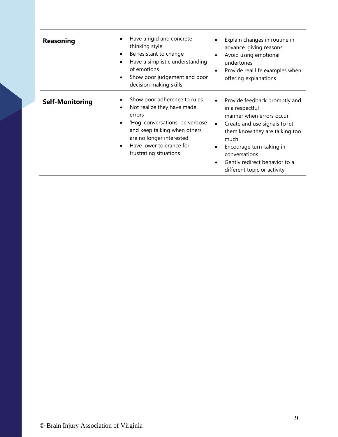| <b>Reasoning</b>       | Have a rigid and concrete<br>thinking style<br>Be resistant to change<br>$\bullet$<br>Have a simplistic understanding<br>$\bullet$<br>of emotions<br>Show poor judgement and poor<br>decision making skills                                         | Explain changes in routine in<br>advance, giving reasons<br>Avoid using emotional<br>$\bullet$<br>undertones<br>Provide real life examples when<br>$\bullet$<br>offering explanations                                                                                                                       |
|------------------------|-----------------------------------------------------------------------------------------------------------------------------------------------------------------------------------------------------------------------------------------------------|-------------------------------------------------------------------------------------------------------------------------------------------------------------------------------------------------------------------------------------------------------------------------------------------------------------|
| <b>Self-Monitoring</b> | Show poor adherence to rules<br>Not realize they have made<br>errors<br>'Hog' conversations; be verbose<br>$\bullet$<br>and keep talking when others<br>are no longer interested<br>Have lower tolerance for<br>$\bullet$<br>frustrating situations | Provide feedback promptly and<br>in a respectful<br>manner when errors occur<br>Create and use signals to let<br>$\bullet$<br>them know they are talking too<br>much<br>Encourage turn-taking in<br>$\bullet$<br>conversations<br>Gently redirect behavior to a<br>$\bullet$<br>different topic or activity |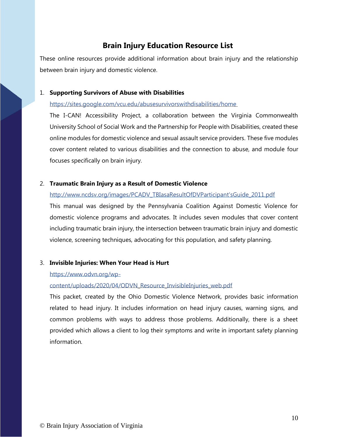## **Brain Injury Education Resource List**

These online resources provide additional information about brain injury and the relationship between brain injury and domestic violence.

## 1. **Supporting Survivors of Abuse with Disabilities**

<https://sites.google.com/vcu.edu/abusesurvivorswithdisabilities/home>

The I-CAN! Accessibility Project, a collaboration between the Virginia Commonwealth University School of Social Work and the Partnership for People with Disabilities, created these online modules for domestic violence and sexual assault service providers. These five modules cover content related to various disabilities and the connection to abuse, and module four focuses specifically on brain injury.

## 2. **Traumatic Brain Injury as a Result of Domestic Violence**

## [http://www.ncdsv.org/images/PCADV\\_TBIasaResultOfDVParticipant'sGuide\\_2011.pdf](http://www.ncdsv.org/images/PCADV_TBIasaResultOfDVParticipant)

This manual was designed by the Pennsylvania Coalition Against Domestic Violence for domestic violence programs and advocates. It includes seven modules that cover content including traumatic brain injury, the intersection between traumatic brain injury and domestic violence, screening techniques, advocating for this population, and safety planning.

## 3. **Invisible Injuries: When Your Head is Hurt**

## [https://www.odvn.org/wp-](https://www.odvn.org/wp-content/uploads/2020/04/ODVN_Resource_InvisibleInjuries_web.pdf)

## [content/uploads/2020/04/ODVN\\_Resource\\_InvisibleInjuries\\_web.pdf](https://www.odvn.org/wp-content/uploads/2020/04/ODVN_Resource_InvisibleInjuries_web.pdf)

This packet, created by the Ohio Domestic Violence Network, provides basic information related to head injury. It includes information on head injury causes, warning signs, and common problems with ways to address those problems. Additionally, there is a sheet provided which allows a client to log their symptoms and write in important safety planning information.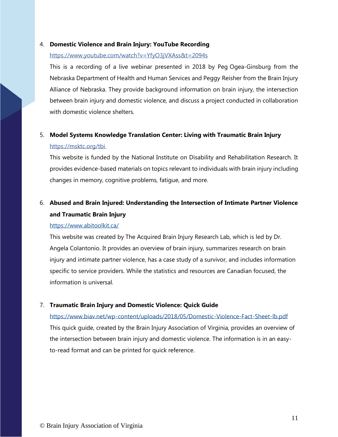## 4. **Domestic Violence and Brain Injury: YouTube Recording**

#### <https://www.youtube.com/watch?v=YfyO3jVXAss&t=2094s>

This is a recording of a live webinar presented in 2018 by Peg Ogea-Ginsburg from the Nebraska Department of Health and Human Services and Peggy Reisher from the Brain Injury Alliance of Nebraska. They provide background information on brain injury, the intersection between brain injury and domestic violence, and discuss a project conducted in collaboration with domestic violence shelters.

## 5. **Model Systems Knowledge Translation Center: Living with Traumatic Brain Injury** <https://msktc.org/tbi>

This website is funded by the National Institute on Disability and Rehabilitation Research. It provides evidence-based materials on topics relevant to individuals with brain injury including changes in memory, cognitive problems, fatigue, and more.

## 6. **Abused and Brain Injured: Understanding the Intersection of Intimate Partner Violence and Traumatic Brain Injury**

#### <https://www.abitoolkit.ca/>

This website was created by The Acquired Brain Injury Research Lab, which is led by Dr. Angela Colantonio. It provides an overview of brain injury, summarizes research on brain injury and intimate partner violence, has a case study of a survivor, and includes information specific to service providers. While the statistics and resources are Canadian focused, the information is universal.

## 7. **Traumatic Brain Injury and Domestic Violence: Quick Guide**

<https://www.biav.net/wp-content/uploads/2018/05/Domestic-Violence-Fact-Sheet-lb.pdf> This quick guide, created by the Brain Injury Association of Virginia, provides an overview of the intersection between brain injury and domestic violence. The information is in an easyto-read format and can be printed for quick reference.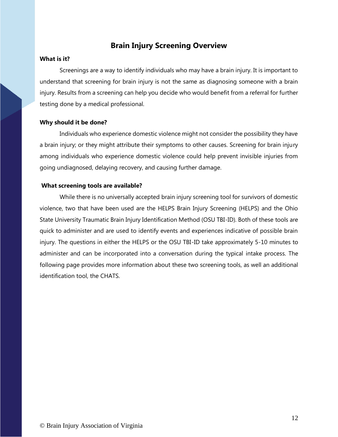## **Brain Injury Screening Overview**

### **What is it?**

Screenings are a way to identify individuals who may have a brain injury. It is important to understand that screening for brain injury is not the same as diagnosing someone with a brain injury. Results from a screening can help you decide who would benefit from a referral for further testing done by a medical professional.

#### **Why should it be done?**

Individuals who experience domestic violence might not consider the possibility they have a brain injury; or they might attribute their symptoms to other causes. Screening for brain injury among individuals who experience domestic violence could help prevent invisible injuries from going undiagnosed, delaying recovery, and causing further damage.

#### **What screening tools are available?**

While there is no universally accepted brain injury screening tool for survivors of domestic violence, two that have been used are the HELPS Brain Injury Screening (HELPS) and the Ohio State University Traumatic Brain Injury Identification Method (OSU TBI-ID). Both of these tools are quick to administer and are used to identify events and experiences indicative of possible brain injury. The questions in either the HELPS or the OSU TBI-ID take approximately 5-10 minutes to administer and can be incorporated into a conversation during the typical intake process. The following page provides more information about these two screening tools, as well an additional identification tool, the CHATS.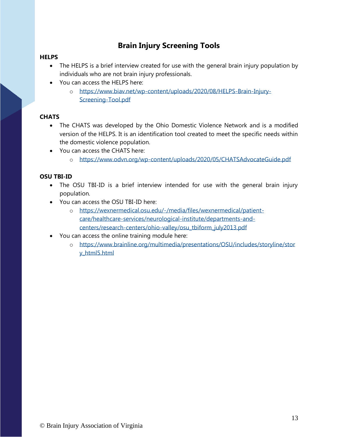## **Brain Injury Screening Tools**

## **HELPS**

- The HELPS is a brief interview created for use with the general brain injury population by individuals who are not brain injury professionals.
- You can access the HELPS here:
	- o [https://www.biav.net/wp-content/uploads/2020/08/HELPS-Brain-Injury-](https://www.biav.net/wp-content/uploads/2020/08/HELPS-Brain-Injury-Screening-Tool.pdf)[Screening-Tool.pdf](https://www.biav.net/wp-content/uploads/2020/08/HELPS-Brain-Injury-Screening-Tool.pdf)

## **CHATS**

- The CHATS was developed by the Ohio Domestic Violence Network and is a modified version of the HELPS. It is an identification tool created to meet the specific needs within the domestic violence population.
- You can access the CHATS here:
	- o <https://www.odvn.org/wp-content/uploads/2020/05/CHATSAdvocateGuide.pdf>

## **OSU TBI-ID**

- The OSU TBI-ID is a brief interview intended for use with the general brain injury population.
- You can access the OSU TBI-ID here:
	- o [https://wexnermedical.osu.edu/-/media/files/wexnermedical/patient](https://wexnermedical.osu.edu/-/media/files/wexnermedical/patient-care/healthcare-services/neurological-institute/departments-and-centers/research-centers/ohio-valley/osu_tbiform_july2013.pdf)[care/healthcare-services/neurological-institute/departments-and](https://wexnermedical.osu.edu/-/media/files/wexnermedical/patient-care/healthcare-services/neurological-institute/departments-and-centers/research-centers/ohio-valley/osu_tbiform_july2013.pdf)[centers/research-centers/ohio-valley/osu\\_tbiform\\_july2013.pdf](https://wexnermedical.osu.edu/-/media/files/wexnermedical/patient-care/healthcare-services/neurological-institute/departments-and-centers/research-centers/ohio-valley/osu_tbiform_july2013.pdf)
- You can access the online training module here:
	- o [https://www.brainline.org/multimedia/presentations/OSU/includes/storyline/stor](https://www.brainline.org/multimedia/presentations/OSU/includes/storyline/story_html5.html) [y\\_html5.html](https://www.brainline.org/multimedia/presentations/OSU/includes/storyline/story_html5.html)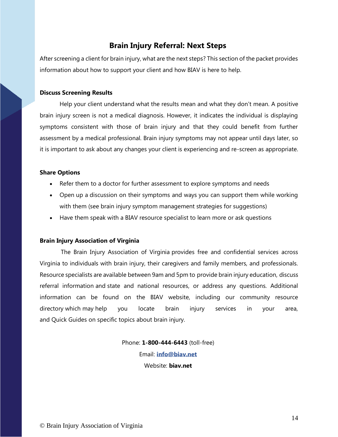## **Brain Injury Referral: Next Steps**

After screening a client for brain injury, what are the next steps? This section of the packet provides information about how to support your client and how BIAV is here to help.

## **Discuss Screening Results**

Help your client understand what the results mean and what they don't mean. A positive brain injury screen is not a medical diagnosis. However, it indicates the individual is displaying symptoms consistent with those of brain injury and that they could benefit from further assessment by a medical professional. Brain injury symptoms may not appear until days later, so it is important to ask about any changes your client is experiencing and re-screen as appropriate.

### **Share Options**

- Refer them to a doctor for further assessment to explore symptoms and needs
- Open up a discussion on their symptoms and ways you can support them while working with them (see brain injury symptom management strategies for suggestions)
- Have them speak with a BIAV resource specialist to learn more or ask questions

#### **Brain Injury Association of Virginia**

 The Brain Injury Association of Virginia provides free and confidential services across Virginia to individuals with brain injury, their caregivers and family members, and professionals. Resource specialists are available between 9am and 5pm to provide brain injury education, discuss referral information and state and national resources, or address any questions. Additional information can be found on the BIAV website, including our community resource directory which may help you locate brain injury services in your area, and Quick Guides on specific topics about brain injury.

Phone: **1-800-444-6443** (toll-free)

Email: **[info@biav.net](mailto:info@biav.net)**

Website: **biav.net**